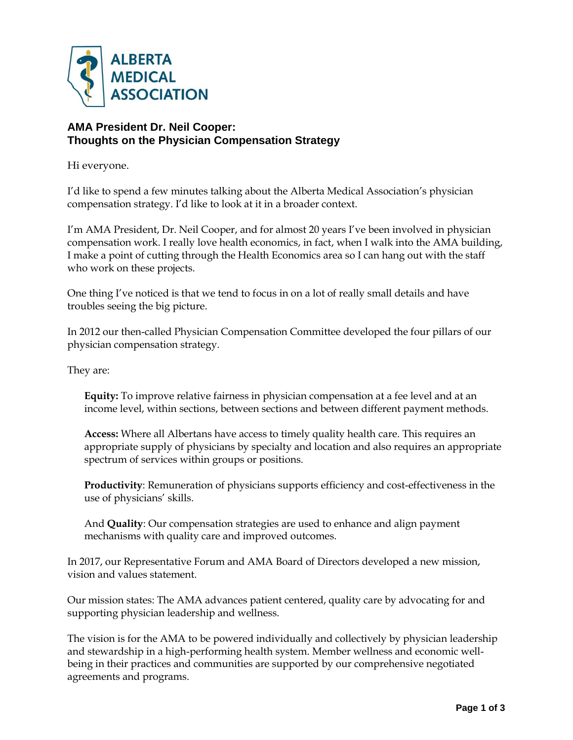

## **AMA President Dr. Neil Cooper: Thoughts on the Physician Compensation Strategy**

Hi everyone.

I'd like to spend a few minutes talking about the Alberta Medical Association's physician compensation strategy. I'd like to look at it in a broader context.

I'm AMA President, Dr. Neil Cooper, and for almost 20 years I've been involved in physician compensation work. I really love health economics, in fact, when I walk into the AMA building, I make a point of cutting through the Health Economics area so I can hang out with the staff who work on these projects.

One thing I've noticed is that we tend to focus in on a lot of really small details and have troubles seeing the big picture.

In 2012 our then-called Physician Compensation Committee developed the four pillars of our physician compensation strategy.

They are:

**Equity:** To improve relative fairness in physician compensation at a fee level and at an income level, within sections, between sections and between different payment methods.

**Access:** Where all Albertans have access to timely quality health care. This requires an appropriate supply of physicians by specialty and location and also requires an appropriate spectrum of services within groups or positions.

**Productivity**: Remuneration of physicians supports efficiency and cost-effectiveness in the use of physicians' skills.

And **Quality**: Our compensation strategies are used to enhance and align payment mechanisms with quality care and improved outcomes.

In 2017, our Representative Forum and AMA Board of Directors developed a new mission, vision and values statement.

Our mission states: The AMA advances patient centered, quality care by advocating for and supporting physician leadership and wellness.

The vision is for the AMA to be powered individually and collectively by physician leadership and stewardship in a high-performing health system. Member wellness and economic wellbeing in their practices and communities are supported by our comprehensive negotiated agreements and programs.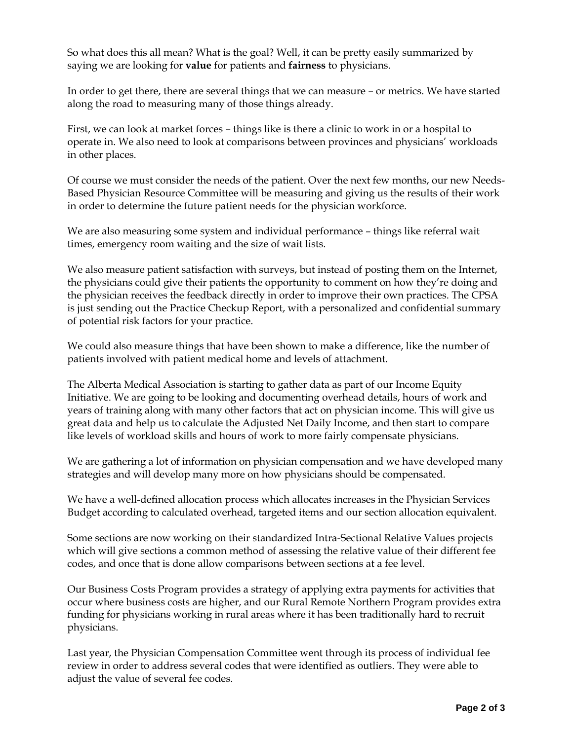So what does this all mean? What is the goal? Well, it can be pretty easily summarized by saying we are looking for **value** for patients and **fairness** to physicians.

In order to get there, there are several things that we can measure – or metrics. We have started along the road to measuring many of those things already.

First, we can look at market forces – things like is there a clinic to work in or a hospital to operate in. We also need to look at comparisons between provinces and physicians' workloads in other places.

Of course we must consider the needs of the patient. Over the next few months, our new Needs-Based Physician Resource Committee will be measuring and giving us the results of their work in order to determine the future patient needs for the physician workforce.

We are also measuring some system and individual performance – things like referral wait times, emergency room waiting and the size of wait lists.

We also measure patient satisfaction with surveys, but instead of posting them on the Internet, the physicians could give their patients the opportunity to comment on how they're doing and the physician receives the feedback directly in order to improve their own practices. The CPSA is just sending out the Practice Checkup Report, with a personalized and confidential summary of potential risk factors for your practice.

We could also measure things that have been shown to make a difference, like the number of patients involved with patient medical home and levels of attachment.

The Alberta Medical Association is starting to gather data as part of our Income Equity Initiative. We are going to be looking and documenting overhead details, hours of work and years of training along with many other factors that act on physician income. This will give us great data and help us to calculate the Adjusted Net Daily Income, and then start to compare like levels of workload skills and hours of work to more fairly compensate physicians.

We are gathering a lot of information on physician compensation and we have developed many strategies and will develop many more on how physicians should be compensated.

We have a well-defined allocation process which allocates increases in the Physician Services Budget according to calculated overhead, targeted items and our section allocation equivalent.

Some sections are now working on their standardized Intra-Sectional Relative Values projects which will give sections a common method of assessing the relative value of their different fee codes, and once that is done allow comparisons between sections at a fee level.

Our Business Costs Program provides a strategy of applying extra payments for activities that occur where business costs are higher, and our Rural Remote Northern Program provides extra funding for physicians working in rural areas where it has been traditionally hard to recruit physicians.

Last year, the Physician Compensation Committee went through its process of individual fee review in order to address several codes that were identified as outliers. They were able to adjust the value of several fee codes.